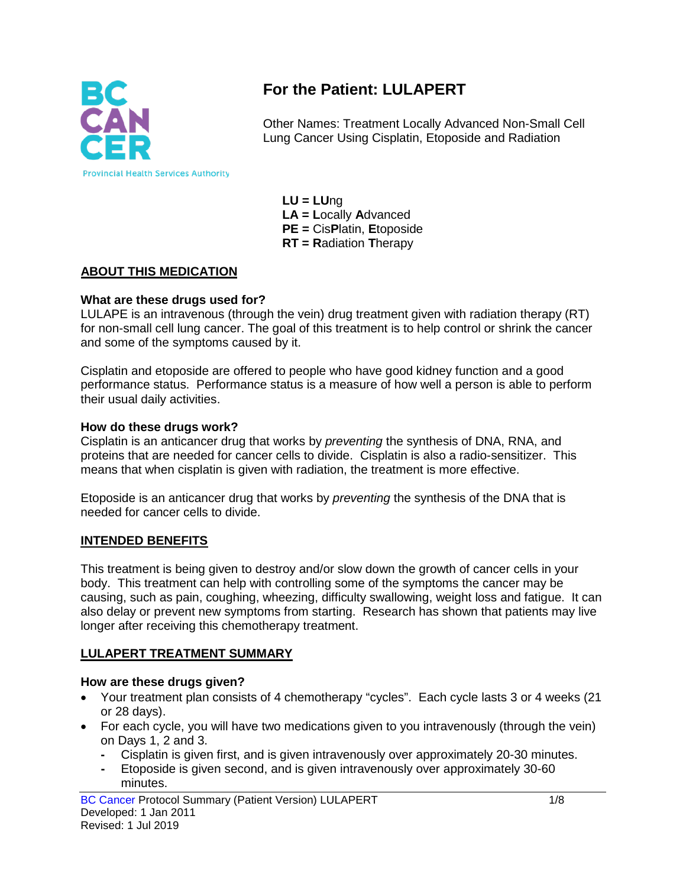

# **For the Patient: LULAPERT**

Other Names: Treatment Locally Advanced Non-Small Cell Lung Cancer Using Cisplatin, Etoposide and Radiation

**LU = LU**ng **LA = L**ocally **A**dvanced **PE =** Cis**P**latin, **E**toposide **RT = R**adiation **T**herapy

### **ABOUT THIS MEDICATION**

#### **What are these drugs used for?**

LULAPE is an intravenous (through the vein) drug treatment given with radiation therapy (RT) for non-small cell lung cancer. The goal of this treatment is to help control or shrink the cancer and some of the symptoms caused by it.

Cisplatin and etoposide are offered to people who have good kidney function and a good performance status. Performance status is a measure of how well a person is able to perform their usual daily activities.

#### **How do these drugs work?**

Cisplatin is an anticancer drug that works by *preventing* the synthesis of DNA, RNA, and proteins that are needed for cancer cells to divide. Cisplatin is also a radio-sensitizer. This means that when cisplatin is given with radiation, the treatment is more effective.

Etoposide is an anticancer drug that works by *preventing* the synthesis of the DNA that is needed for cancer cells to divide.

#### **INTENDED BENEFITS**

This treatment is being given to destroy and/or slow down the growth of cancer cells in your body. This treatment can help with controlling some of the symptoms the cancer may be causing, such as pain, coughing, wheezing, difficulty swallowing, weight loss and fatigue. It can also delay or prevent new symptoms from starting. Research has shown that patients may live longer after receiving this chemotherapy treatment.

#### **LULAPERT TREATMENT SUMMARY**

#### **How are these drugs given?**

- Your treatment plan consists of 4 chemotherapy "cycles". Each cycle lasts 3 or 4 weeks (21 or 28 days).
- For each cycle, you will have two medications given to you intravenously (through the vein) on Days 1, 2 and 3.
	- **-** Cisplatin is given first, and is given intravenously over approximately 20-30 minutes.
	- **-** Etoposide is given second, and is given intravenously over approximately 30-60 minutes.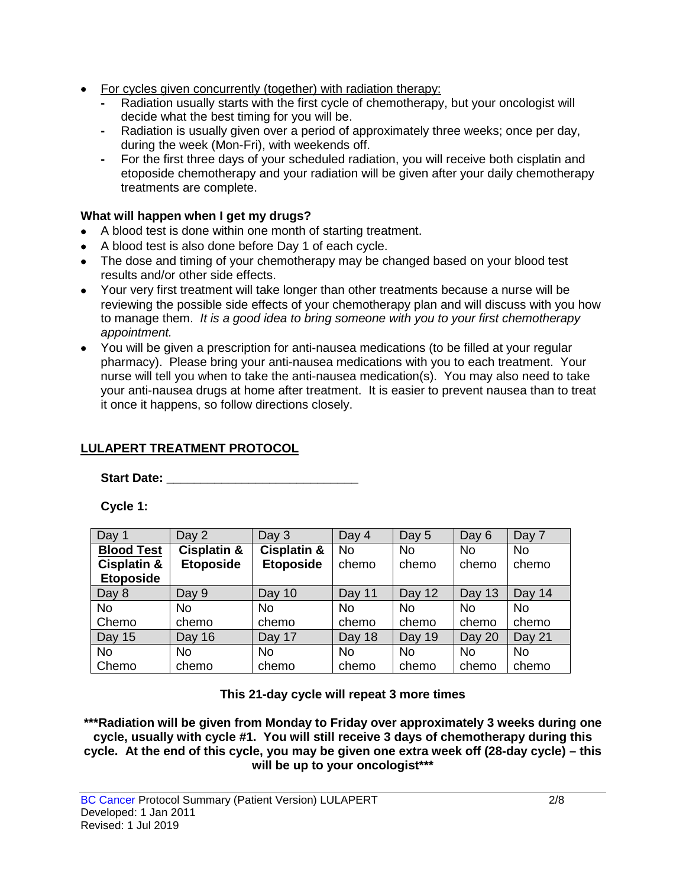- For cycles given concurrently (together) with radiation therapy:
	- **-** Radiation usually starts with the first cycle of chemotherapy, but your oncologist will decide what the best timing for you will be.
	- **-** Radiation is usually given over a period of approximately three weeks; once per day, during the week (Mon-Fri), with weekends off.
	- **-** For the first three days of your scheduled radiation, you will receive both cisplatin and etoposide chemotherapy and your radiation will be given after your daily chemotherapy treatments are complete.

### **What will happen when I get my drugs?**

- A blood test is done within one month of starting treatment.
- A blood test is also done before Day 1 of each cycle.
- The dose and timing of your chemotherapy may be changed based on your blood test results and/or other side effects.
- Your very first treatment will take longer than other treatments because a nurse will be reviewing the possible side effects of your chemotherapy plan and will discuss with you how to manage them. *It is a good idea to bring someone with you to your first chemotherapy appointment.*
- You will be given a prescription for anti-nausea medications (to be filled at your regular pharmacy). Please bring your anti-nausea medications with you to each treatment. Your nurse will tell you when to take the anti-nausea medication(s). You may also need to take your anti-nausea drugs at home after treatment. It is easier to prevent nausea than to treat it once it happens, so follow directions closely.

## **LULAPERT TREATMENT PROTOCOL**

Start Date: **With Start Date: Start Date: All 2008** 

**Cycle 1:**

| Day 1                  | Day 2                  | Day 3                  | Day 4     | Day 5     | Day 6     | Day 7     |
|------------------------|------------------------|------------------------|-----------|-----------|-----------|-----------|
| <b>Blood Test</b>      | <b>Cisplatin &amp;</b> | <b>Cisplatin &amp;</b> | <b>No</b> | <b>No</b> | <b>No</b> | <b>No</b> |
| <b>Cisplatin &amp;</b> | <b>Etoposide</b>       | <b>Etoposide</b>       | chemo     | chemo     | chemo     | chemo     |
| <b>Etoposide</b>       |                        |                        |           |           |           |           |
| Day 8                  | Day 9                  | Day 10                 | Day 11    | Day 12    | Day 13    | Day 14    |
| <b>No</b>              | <b>No</b>              | <b>No</b>              | <b>No</b> | <b>No</b> | <b>No</b> | <b>No</b> |
| Chemo                  | chemo                  | chemo                  | chemo     | chemo     | chemo     | chemo     |
| Day 15                 | Day 16                 | Day 17                 | Day 18    | Day 19    | Day 20    | Day 21    |
| <b>No</b>              | No.                    | No.                    | <b>No</b> | <b>No</b> | <b>No</b> | No.       |
| Chemo                  | chemo                  | chemo                  | chemo     | chemo     | chemo     | chemo     |

#### **This 21-day cycle will repeat 3 more times**

**\*\*\*Radiation will be given from Monday to Friday over approximately 3 weeks during one cycle, usually with cycle #1. You will still receive 3 days of chemotherapy during this cycle. At the end of this cycle, you may be given one extra week off (28-day cycle) – this will be up to your oncologist\*\*\***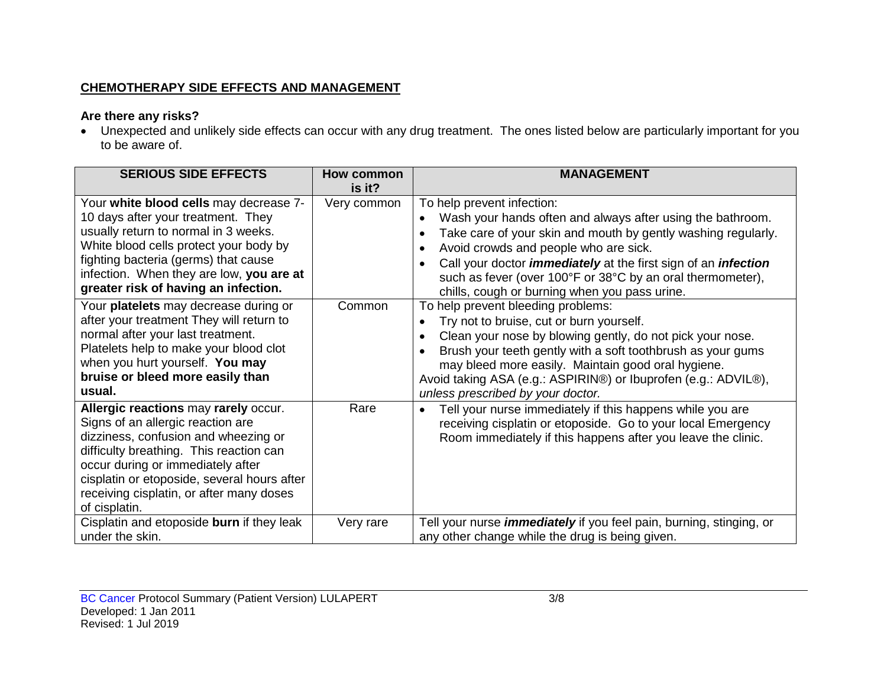### **CHEMOTHERAPY SIDE EFFECTS AND MANAGEMENT**

## **Are there any risks?**

• Unexpected and unlikely side effects can occur with any drug treatment. The ones listed below are particularly important for you to be aware of.

| <b>SERIOUS SIDE EFFECTS</b>                                                                                                                                                                                                                                                                                                                                                                                                                                                                                                           | How common<br>is it?  | <b>MANAGEMENT</b>                                                                                                                                                                                                                                                                                                                                                                                                                                                                                                                                                                                                                                                                                                                                                                           |
|---------------------------------------------------------------------------------------------------------------------------------------------------------------------------------------------------------------------------------------------------------------------------------------------------------------------------------------------------------------------------------------------------------------------------------------------------------------------------------------------------------------------------------------|-----------------------|---------------------------------------------------------------------------------------------------------------------------------------------------------------------------------------------------------------------------------------------------------------------------------------------------------------------------------------------------------------------------------------------------------------------------------------------------------------------------------------------------------------------------------------------------------------------------------------------------------------------------------------------------------------------------------------------------------------------------------------------------------------------------------------------|
| Your white blood cells may decrease 7-<br>10 days after your treatment. They<br>usually return to normal in 3 weeks.<br>White blood cells protect your body by<br>fighting bacteria (germs) that cause<br>infection. When they are low, you are at<br>greater risk of having an infection.<br>Your platelets may decrease during or<br>after your treatment They will return to<br>normal after your last treatment.<br>Platelets help to make your blood clot<br>when you hurt yourself. You may<br>bruise or bleed more easily than | Very common<br>Common | To help prevent infection:<br>Wash your hands often and always after using the bathroom.<br>$\bullet$<br>Take care of your skin and mouth by gently washing regularly.<br>$\bullet$<br>Avoid crowds and people who are sick.<br>$\bullet$<br>Call your doctor <i>immediately</i> at the first sign of an <i>infection</i><br>such as fever (over 100°F or 38°C by an oral thermometer),<br>chills, cough or burning when you pass urine.<br>To help prevent bleeding problems:<br>Try not to bruise, cut or burn yourself.<br>Clean your nose by blowing gently, do not pick your nose.<br>$\bullet$<br>Brush your teeth gently with a soft toothbrush as your gums<br>may bleed more easily. Maintain good oral hygiene.<br>Avoid taking ASA (e.g.: ASPIRIN®) or Ibuprofen (e.g.: ADVIL®), |
| usual.<br>Allergic reactions may rarely occur.<br>Signs of an allergic reaction are<br>dizziness, confusion and wheezing or<br>difficulty breathing. This reaction can<br>occur during or immediately after                                                                                                                                                                                                                                                                                                                           | Rare                  | unless prescribed by your doctor.<br>Tell your nurse immediately if this happens while you are<br>receiving cisplatin or etoposide. Go to your local Emergency<br>Room immediately if this happens after you leave the clinic.                                                                                                                                                                                                                                                                                                                                                                                                                                                                                                                                                              |
| cisplatin or etoposide, several hours after<br>receiving cisplatin, or after many doses<br>of cisplatin.<br>Cisplatin and etoposide burn if they leak<br>under the skin.                                                                                                                                                                                                                                                                                                                                                              | Very rare             | Tell your nurse <i>immediately</i> if you feel pain, burning, stinging, or<br>any other change while the drug is being given.                                                                                                                                                                                                                                                                                                                                                                                                                                                                                                                                                                                                                                                               |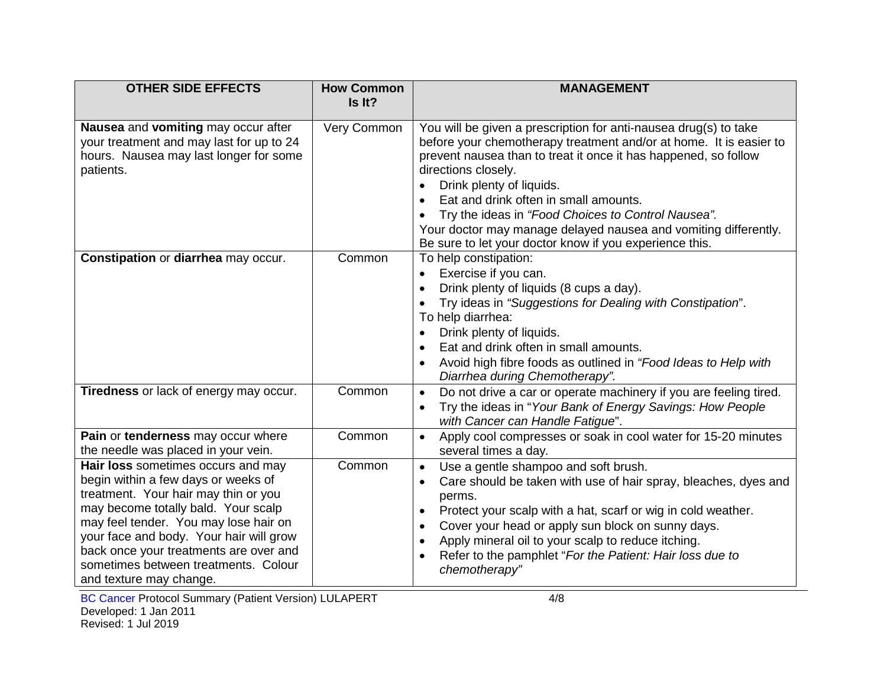| <b>OTHER SIDE EFFECTS</b>                                                                                                                                                                                                                                                                                                                                 | <b>How Common</b><br>Is It? | <b>MANAGEMENT</b>                                                                                                                                                                                                                                                                                                                                                                                                                                                                                                   |
|-----------------------------------------------------------------------------------------------------------------------------------------------------------------------------------------------------------------------------------------------------------------------------------------------------------------------------------------------------------|-----------------------------|---------------------------------------------------------------------------------------------------------------------------------------------------------------------------------------------------------------------------------------------------------------------------------------------------------------------------------------------------------------------------------------------------------------------------------------------------------------------------------------------------------------------|
| Nausea and vomiting may occur after<br>your treatment and may last for up to 24<br>hours. Nausea may last longer for some<br>patients.                                                                                                                                                                                                                    | Very Common                 | You will be given a prescription for anti-nausea drug(s) to take<br>before your chemotherapy treatment and/or at home. It is easier to<br>prevent nausea than to treat it once it has happened, so follow<br>directions closely.<br>Drink plenty of liquids.<br>$\bullet$<br>Eat and drink often in small amounts.<br>$\bullet$<br>Try the ideas in "Food Choices to Control Nausea".<br>Your doctor may manage delayed nausea and vomiting differently.<br>Be sure to let your doctor know if you experience this. |
| Constipation or diarrhea may occur.                                                                                                                                                                                                                                                                                                                       | Common                      | To help constipation:<br>Exercise if you can.<br>$\bullet$<br>Drink plenty of liquids (8 cups a day).<br>$\bullet$<br>Try ideas in "Suggestions for Dealing with Constipation".<br>$\bullet$<br>To help diarrhea:<br>Drink plenty of liquids.<br>Eat and drink often in small amounts.<br>Avoid high fibre foods as outlined in "Food Ideas to Help with<br>$\bullet$<br>Diarrhea during Chemotherapy".                                                                                                             |
| Tiredness or lack of energy may occur.                                                                                                                                                                                                                                                                                                                    | Common                      | Do not drive a car or operate machinery if you are feeling tired.<br>$\bullet$<br>Try the ideas in "Your Bank of Energy Savings: How People<br>$\bullet$<br>with Cancer can Handle Fatigue".                                                                                                                                                                                                                                                                                                                        |
| Pain or tenderness may occur where<br>the needle was placed in your vein.                                                                                                                                                                                                                                                                                 | Common                      | Apply cool compresses or soak in cool water for 15-20 minutes<br>$\bullet$<br>several times a day.                                                                                                                                                                                                                                                                                                                                                                                                                  |
| Hair loss sometimes occurs and may<br>begin within a few days or weeks of<br>treatment. Your hair may thin or you<br>may become totally bald. Your scalp<br>may feel tender. You may lose hair on<br>your face and body. Your hair will grow<br>back once your treatments are over and<br>sometimes between treatments. Colour<br>and texture may change. | Common                      | Use a gentle shampoo and soft brush.<br>$\bullet$<br>Care should be taken with use of hair spray, bleaches, dyes and<br>$\bullet$<br>perms.<br>Protect your scalp with a hat, scarf or wig in cold weather.<br>$\bullet$<br>Cover your head or apply sun block on sunny days.<br>$\bullet$<br>Apply mineral oil to your scalp to reduce itching.<br>$\bullet$<br>Refer to the pamphlet "For the Patient: Hair loss due to<br>$\bullet$<br>chemotherapy"                                                             |

BC Cancer Protocol Summary (Patient Version) LULAPERT 4/8 Developed: 1 Jan 2011 Revised: 1 Jul 2019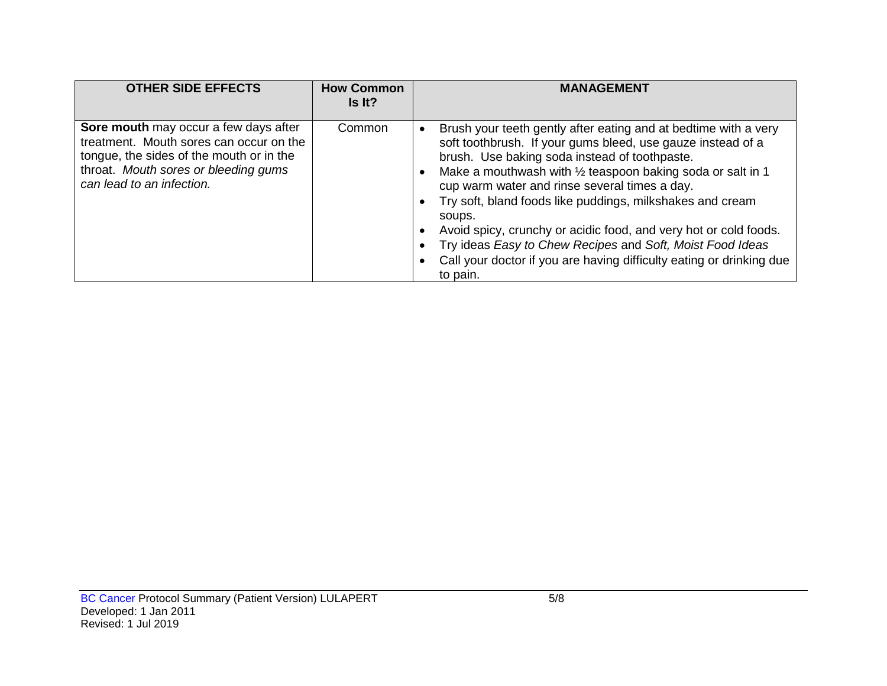| <b>OTHER SIDE EFFECTS</b>                                                                                                                                                                         | <b>How Common</b><br>Is It? | <b>MANAGEMENT</b>                                                                                                                                                                                                                                                                                                                                                                                                                                                                                                                                                                                     |
|---------------------------------------------------------------------------------------------------------------------------------------------------------------------------------------------------|-----------------------------|-------------------------------------------------------------------------------------------------------------------------------------------------------------------------------------------------------------------------------------------------------------------------------------------------------------------------------------------------------------------------------------------------------------------------------------------------------------------------------------------------------------------------------------------------------------------------------------------------------|
| Sore mouth may occur a few days after<br>treatment. Mouth sores can occur on the<br>tongue, the sides of the mouth or in the<br>throat. Mouth sores or bleeding gums<br>can lead to an infection. | Common                      | Brush your teeth gently after eating and at bedtime with a very<br>soft toothbrush. If your gums bleed, use gauze instead of a<br>brush. Use baking soda instead of toothpaste.<br>Make a mouthwash with $\frac{1}{2}$ teaspoon baking soda or salt in 1<br>cup warm water and rinse several times a day.<br>Try soft, bland foods like puddings, milkshakes and cream<br>soups.<br>Avoid spicy, crunchy or acidic food, and very hot or cold foods.<br>Try ideas Easy to Chew Recipes and Soft, Moist Food Ideas<br>Call your doctor if you are having difficulty eating or drinking due<br>to pain. |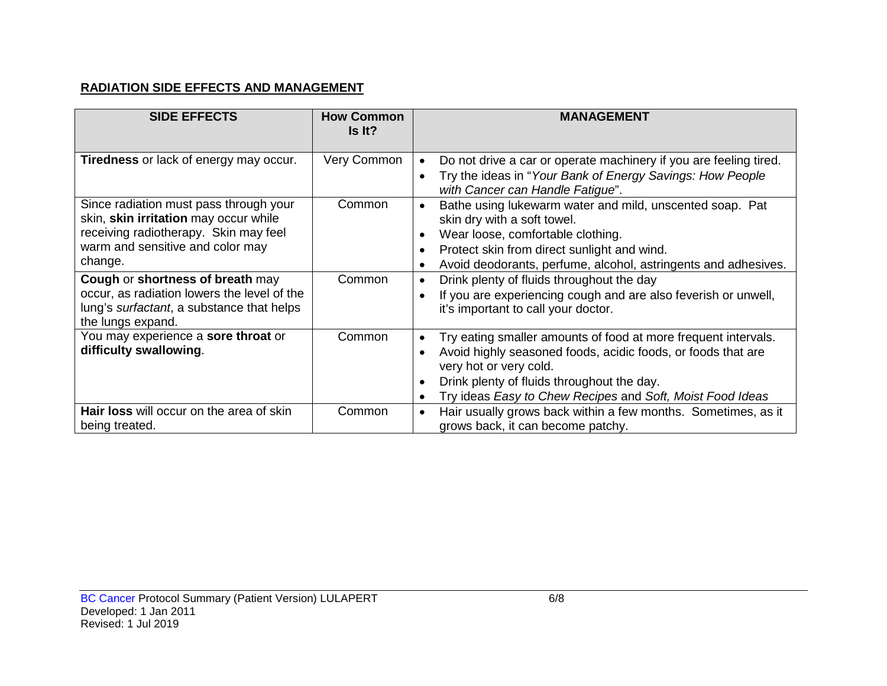### **RADIATION SIDE EFFECTS AND MANAGEMENT**

| <b>SIDE EFFECTS</b>                                                                                                                                                     | <b>How Common</b><br>Is It? | <b>MANAGEMENT</b>                                                                                                                                                                                                                                                                |
|-------------------------------------------------------------------------------------------------------------------------------------------------------------------------|-----------------------------|----------------------------------------------------------------------------------------------------------------------------------------------------------------------------------------------------------------------------------------------------------------------------------|
| <b>Tiredness</b> or lack of energy may occur.                                                                                                                           | Very Common                 | Do not drive a car or operate machinery if you are feeling tired.<br>$\bullet$<br>Try the ideas in "Your Bank of Energy Savings: How People<br>with Cancer can Handle Fatigue".                                                                                                  |
| Since radiation must pass through your<br>skin, skin irritation may occur while<br>receiving radiotherapy. Skin may feel<br>warm and sensitive and color may<br>change. | Common                      | Bathe using lukewarm water and mild, unscented soap. Pat<br>skin dry with a soft towel.<br>Wear loose, comfortable clothing.<br>Protect skin from direct sunlight and wind.<br>Avoid deodorants, perfume, alcohol, astringents and adhesives.                                    |
| Cough or shortness of breath may<br>occur, as radiation lowers the level of the<br>lung's surfactant, a substance that helps<br>the lungs expand.                       | Common                      | Drink plenty of fluids throughout the day<br>If you are experiencing cough and are also feverish or unwell,<br>it's important to call your doctor.                                                                                                                               |
| You may experience a sore throat or<br>difficulty swallowing.                                                                                                           | Common                      | Try eating smaller amounts of food at more frequent intervals.<br>Avoid highly seasoned foods, acidic foods, or foods that are<br>very hot or very cold.<br>Drink plenty of fluids throughout the day.<br>Try ideas Easy to Chew Recipes and Soft, Moist Food Ideas<br>$\bullet$ |
| <b>Hair loss will occur on the area of skin</b><br>being treated.                                                                                                       | Common                      | Hair usually grows back within a few months. Sometimes, as it<br>$\bullet$<br>grows back, it can become patchy.                                                                                                                                                                  |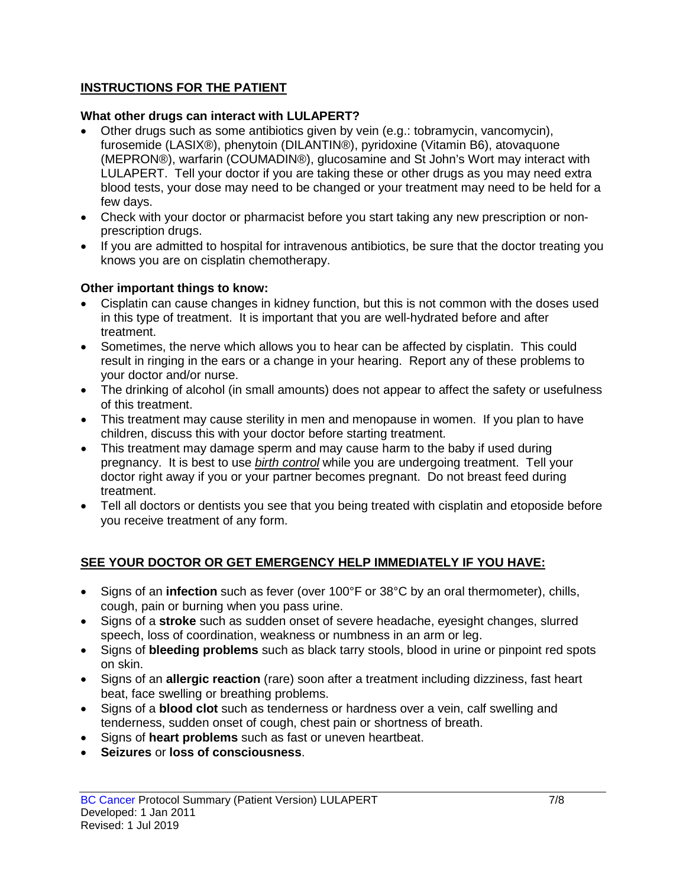### **INSTRUCTIONS FOR THE PATIENT**

#### **What other drugs can interact with LULAPERT?**

- Other drugs such as some antibiotics given by vein (e.g.: tobramycin, vancomycin), furosemide (LASIX®), phenytoin (DILANTIN®), pyridoxine (Vitamin B6), atovaquone (MEPRON®), warfarin (COUMADIN®), glucosamine and St John's Wort may interact with LULAPERT. Tell your doctor if you are taking these or other drugs as you may need extra blood tests, your dose may need to be changed or your treatment may need to be held for a few days.
- Check with your doctor or pharmacist before you start taking any new prescription or nonprescription drugs.
- If you are admitted to hospital for intravenous antibiotics, be sure that the doctor treating you knows you are on cisplatin chemotherapy.

#### **Other important things to know:**

- Cisplatin can cause changes in kidney function, but this is not common with the doses used in this type of treatment. It is important that you are well-hydrated before and after treatment.
- Sometimes, the nerve which allows you to hear can be affected by cisplatin. This could result in ringing in the ears or a change in your hearing. Report any of these problems to your doctor and/or nurse.
- The drinking of alcohol (in small amounts) does not appear to affect the safety or usefulness of this treatment.
- This treatment may cause sterility in men and menopause in women. If you plan to have children, discuss this with your doctor before starting treatment.
- This treatment may damage sperm and may cause harm to the baby if used during pregnancy. It is best to use *birth control* while you are undergoing treatment. Tell your doctor right away if you or your partner becomes pregnant. Do not breast feed during treatment.
- Tell all doctors or dentists you see that you being treated with cisplatin and etoposide before you receive treatment of any form.

### **SEE YOUR DOCTOR OR GET EMERGENCY HELP IMMEDIATELY IF YOU HAVE:**

- Signs of an **infection** such as fever (over 100°F or 38°C by an oral thermometer), chills, cough, pain or burning when you pass urine.
- Signs of a **stroke** such as sudden onset of severe headache, eyesight changes, slurred speech, loss of coordination, weakness or numbness in an arm or leg.
- Signs of **bleeding problems** such as black tarry stools, blood in urine or pinpoint red spots on skin.
- Signs of an **allergic reaction** (rare) soon after a treatment including dizziness, fast heart beat, face swelling or breathing problems.
- Signs of a **blood clot** such as tenderness or hardness over a vein, calf swelling and tenderness, sudden onset of cough, chest pain or shortness of breath.
- Signs of **heart problems** such as fast or uneven heartbeat.
- **Seizures** or **loss of consciousness**.